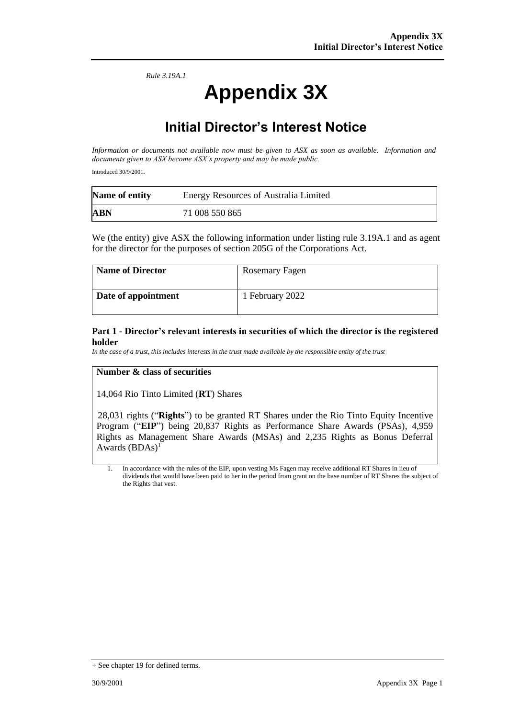*Rule 3.19A.1*

# **Appendix 3X**

## **Initial Director's Interest Notice**

*Information or documents not available now must be given to ASX as soon as available. Information and documents given to ASX become ASX's property and may be made public.*

Introduced 30/9/2001.

| Name of entity | <b>Energy Resources of Australia Limited</b> |
|----------------|----------------------------------------------|
| <b>ABN</b>     | 71 008 550 865                               |

We (the entity) give ASX the following information under listing rule 3.19A.1 and as agent for the director for the purposes of section 205G of the Corporations Act.

| <b>Name of Director</b> | Rosemary Fagen  |
|-------------------------|-----------------|
| Date of appointment     | 1 February 2022 |

#### **Part 1 - Director's relevant interests in securities of which the director is the registered holder**

*In the case of a trust, this includes interests in the trust made available by the responsible entity of the trust*

#### **Number & class of securities**

14,064 Rio Tinto Limited (**RT**) Shares

28,031 rights ("**Rights**") to be granted RT Shares under the Rio Tinto Equity Incentive Program ("**EIP**") being 20,837 Rights as Performance Share Awards (PSAs), 4,959 Rights as Management Share Awards (MSAs) and 2,235 Rights as Bonus Deferral Awards  $(BDAs)^1$ 

1. In accordance with the rules of the EIP, upon vesting Ms Fagen may receive additional RT Shares in lieu of dividends that would have been paid to her in the period from grant on the base number of RT Shares the subject of the Rights that vest.

<sup>+</sup> See chapter 19 for defined terms.